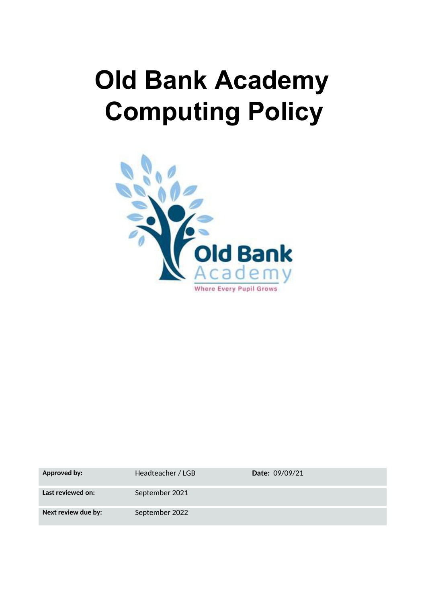# **Old Bank Academy Computing Policy**



| <b>Approved by:</b> | Headteacher / LGB | <b>Date: 09/09/21</b> |
|---------------------|-------------------|-----------------------|
| Last reviewed on:   | September 2021    |                       |
| Next review due by: | September 2022    |                       |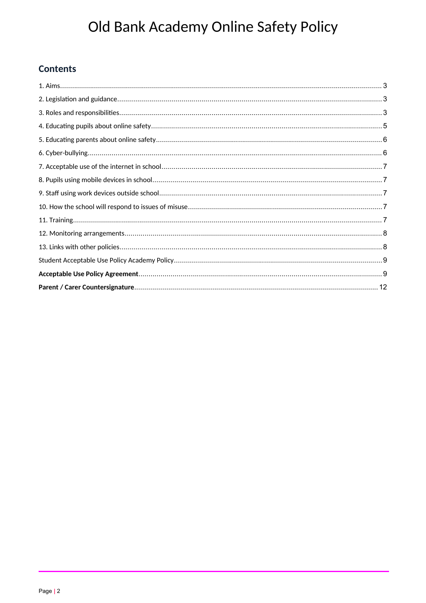# **Contents**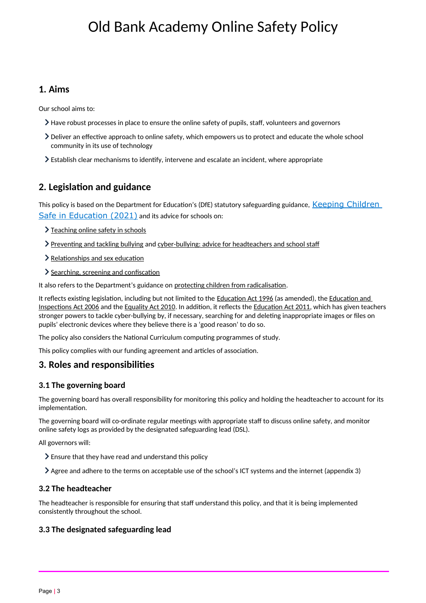# <span id="page-2-0"></span>**1. Aims**

Our school aims to:

- $\geq$  Have robust processes in place to ensure the online safety of pupils, staff, volunteers and governors
- $\geq$  Deliver an effective approach to online safety, which empowers us to protect and educate the whole school community in its use of technology
- Establish clear mechanisms to identfy, intervene and escalate an incident, where appropriate

# <span id="page-2-2"></span>**2. Legislaton and guidance**

This policy is based on the Department for Education's (DfE) statutory safeguarding guidance, Keeping Children [Safe in Education \(2021\)](https://www.gov.uk/government/publications/keeping-children-safe-in-education--2) and its advice for schools on:

- > [Teaching online safety in schools](https://www.gov.uk/government/publications/teaching-online-safety-in-schools)
- > Preventing and tackling bullying and [cyber-bullying: advice for headteachers and school staf](https://www.gov.uk/government/publications/preventing-and-tackling-bullying)f
- $\geq$  Relationships and sex education
- Searching, screening and confiscation

It also refers to the Department's guidance on protecting children from radicalisation.

It reflects existing legislation, including but not limited to the Education Act 1996 (as amended), the Education and Inspections Act 2006 and the [Equality Act 2010.](https://www.legislation.gov.uk/ukpga/2010/15/contents) In addition, it reflects the Education Act 2011, which has given teachers stronger powers to tackle cyber-bullying by, if necessary, searching for and deletng inappropriate images or fles on pupils' electronic devices where they believe there is a 'good reason' to do so.

The policy also considers the National Curriculum computing programmes of study.

This policy complies with our funding agreement and articles of association.

## <span id="page-2-1"></span>**3. Roles and responsibilites**

### **3.1 The governing board**

The governing board has overall responsibility for monitoring this policy and holding the headteacher to account for its implementation.

The governing board will co-ordinate regular meetings with appropriate staff to discuss online safety, and monitor online safety logs as provided by the designated safeguarding lead (DSL).

All governors will:

- $\geq$  Ensure that they have read and understand this policy
- $\geq$  Agree and adhere to the terms on acceptable use of the school's ICT systems and the internet (appendix 3)

#### **3.2 The headteacher**

The headteacher is responsible for ensuring that staff understand this policy, and that it is being implemented consistently throughout the school.

#### **3.3 The designated safeguarding lead**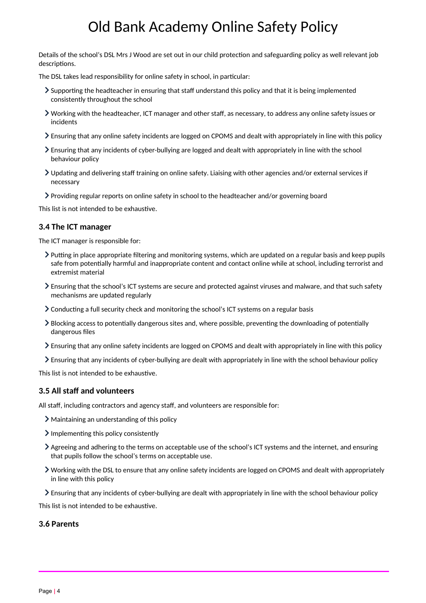Details of the school's DSL Mrs J Wood are set out in our child protection and safeguarding policy as well relevant job descriptions.

The DSL takes lead responsibility for online safety in school, in particular:

- $\geq$  Supporting the headteacher in ensuring that staff understand this policy and that it is being implemented consistently throughout the school
- Working with the headteacher, ICT manager and other staf, as necessary, to address any online safety issues or incidents
- Ensuring that any online safety incidents are logged on CPOMS and dealt with appropriately in line with this policy
- Ensuring that any incidents of cyber-bullying are logged and dealt with appropriately in line with the school behaviour policy
- $\triangleright$  Updating and delivering staff training on online safety. Liaising with other agencies and/or external services if necessary
- Providing regular reports on online safety in school to the headteacher and/or governing board

This list is not intended to be exhaustive.

#### **3.4 The ICT manager**

The ICT manager is responsible for:

- $\triangleright$  Putting in place appropriate filtering and monitoring systems, which are updated on a regular basis and keep pupils safe from potentally harmful and inappropriate content and contact online while at school, including terrorist and extremist material
- Ensuring that the school's ICT systems are secure and protected against viruses and malware, and that such safety mechanisms are updated regularly
- $\geq$  Conducting a full security check and monitoring the school's ICT systems on a regular basis
- I Blocking access to potentially dangerous sites and, where possible, preventing the downloading of potentially dangerous files
- Ensuring that any online safety incidents are logged on CPOMS and dealt with appropriately in line with this policy
- Ensuring that any incidents of cyber-bullying are dealt with appropriately in line with the school behaviour policy

This list is not intended to be exhaustive.

#### **3.5 All staff and volunteers**

All staff, including contractors and agency staff, and volunteers are responsible for:

- Maintaining an understanding of this policy
- $\sum$  Implementing this policy consistently
- Agreeing and adhering to the terms on acceptable use of the school's ICT systems and the internet, and ensuring that pupils follow the school's terms on acceptable use.
- Working with the DSL to ensure that any online safety incidents are logged on CPOMS and dealt with appropriately in line with this policy
- Ensuring that any incidents of cyber-bullying are dealt with appropriately in line with the school behaviour policy

This list is not intended to be exhaustive.

#### **3.6 Parents**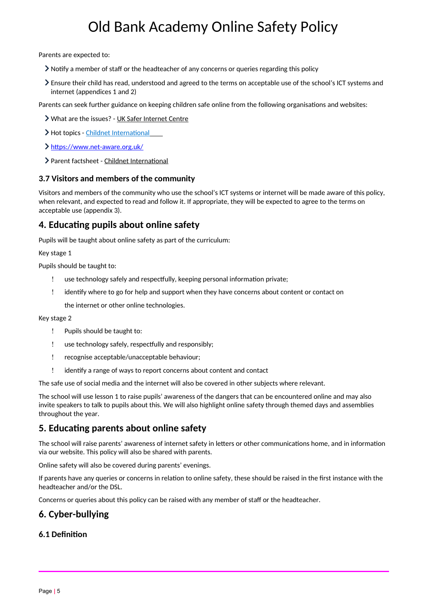Parents are expected to:

- $\geq$  Notify a member of staff or the headteacher of any concerns or queries regarding this policy
- Ensure their child has read, understood and agreed to the terms on acceptable use of the school's ICT systems and internet (appendices 1 and 2)

Parents can seek further guidance on keeping children safe online from the following organisatons and websites:

- What are the issues? - [UK Safer Internet Centre](https://www.saferinternet.org.uk/advice-centre/parents-and-carers/what-are-issues)
- > Hot topics Childnet International
- [htps://www.net-aware.org.uk/](https://www.net-aware.org.uk/)
- > Parent factsheet Childnet International

#### **3.7 Visitors and members of the community**

Visitors and members of the community who use the school's ICT systems or internet will be made aware of this policy, when relevant, and expected to read and follow it. If appropriate, they will be expected to agree to the terms on acceptable use (appendix 3).

## <span id="page-4-2"></span>**4. Educatng pupils about online safety**

Pupils will be taught about online safety as part of the curriculum:

Key stage 1

Pupils should be taught to:

- use technology safely and respectfully, keeping personal information private;
- identfy where to go for help and support when they have concerns about content or contact on

the internet or other online technologies.

Key stage 2

- Pupils should be taught to:
- ! use technology safely, respectfully and responsibly;
- recognise acceptable/unacceptable behaviour;
- ! identify a range of ways to report concerns about content and contact

The safe use of social media and the internet will also be covered in other subjects where relevant.

The school will use lesson 1 to raise pupils' awareness of the dangers that can be encountered online and may also invite speakers to talk to pupils about this. We will also highlight online safety through themed days and assemblies throughout the year.

## <span id="page-4-1"></span>**5. Educating parents about online safety**

The school will raise parents' awareness of internet safety in letters or other communications home, and in information via our website. This policy will also be shared with parents.

Online safety will also be covered during parents' evenings.

If parents have any queries or concerns in relaton to online safety, these should be raised in the frst instance with the headteacher and/or the DSL.

Concerns or queries about this policy can be raised with any member of staff or the headteacher.

## <span id="page-4-0"></span>**6. Cyber-bullying**

#### **6.1 Defniton**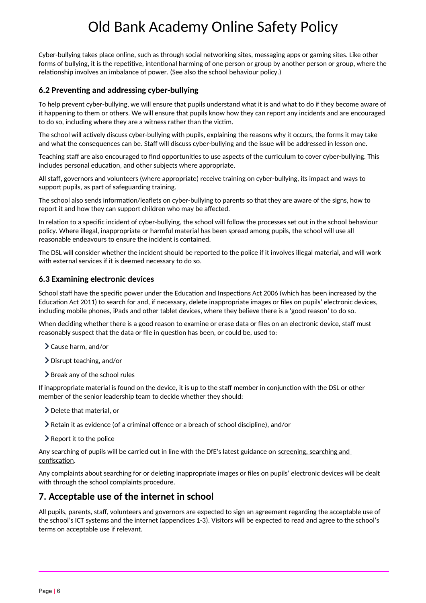Cyber-bullying takes place online, such as through social networking sites, messaging apps or gaming sites. Like other forms of bullying, it is the repetitive, intentional harming of one person or group by another person or group, where the relatonship involves an imbalance of power. (See also the school behaviour policy.)

### **6.2 Preventng and addressing cyber-bullying**

To help prevent cyber-bullying, we will ensure that pupils understand what it is and what to do if they become aware of it happening to them or others. We will ensure that pupils know how they can report any incidents and are encouraged to do so, including where they are a witness rather than the victm.

The school will actively discuss cyber-bullying with pupils, explaining the reasons why it occurs, the forms it may take and what the consequences can be. Staff will discuss cyber-bullying and the issue will be addressed in lesson one.

Teaching staff are also encouraged to find opportunities to use aspects of the curriculum to cover cyber-bullying. This includes personal education, and other subjects where appropriate.

All staf, governors and volunteers (where appropriate) receive training on cyber-bullying, its impact and ways to support pupils, as part of safeguarding training.

The school also sends information/leaflets on cyber-bullying to parents so that they are aware of the signs, how to report it and how they can support children who may be afected.

In relation to a specific incident of cyber-bullying, the school will follow the processes set out in the school behaviour policy. Where illegal, inappropriate or harmful material has been spread among pupils, the school will use all reasonable endeavours to ensure the incident is contained.

The DSL will consider whether the incident should be reported to the police if it involves illegal material, and will work with external services if it is deemed necessary to do so.

#### **6.3 Examining electronic devices**

School staff have the specific power under the Education and Inspections Act 2006 (which has been increased by the Education Act 2011) to search for and, if necessary, delete inappropriate images or files on pupils' electronic devices, including mobile phones, iPads and other tablet devices, where they believe there is a 'good reason' to do so.

When deciding whether there is a good reason to examine or erase data or files on an electronic device, staff must reasonably suspect that the data or file in question has been, or could be, used to:

Cause harm, and/or

- Disrupt teaching, and/or
- $\triangleright$  Break any of the school rules

If inappropriate material is found on the device, it is up to the staff member in conjunction with the DSL or other member of the senior leadership team to decide whether they should:

Delete that material, or

- $\blacktriangleright$  Retain it as evidence (of a criminal offence or a breach of school discipline), and/or
- $\geq$  Report it to the police

Any searching of pupils will be carried out in line with the DfE's latest guidance on screening, searching and confiscation.

Any complaints about searching for or deletng inappropriate images or fles on pupils' electronic devices will be dealt with through the school complaints procedure.

## <span id="page-5-0"></span>**7. Acceptable use of the internet in school**

All pupils, parents, staf, volunteers and governors are expected to sign an agreement regarding the acceptable use of the school's ICT systems and the internet (appendices 1-3). Visitors will be expected to read and agree to the school's terms on acceptable use if relevant.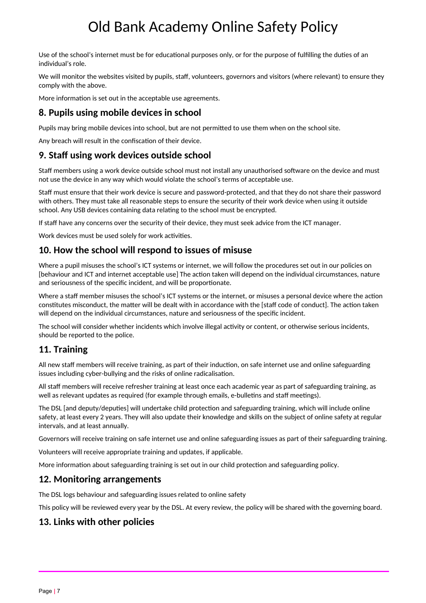Use of the school's internet must be for educational purposes only, or for the purpose of fulfilling the duties of an individual's role.

We will monitor the websites visited by pupils, staff, volunteers, governors and visitors (where relevant) to ensure they comply with the above.

More informaton is set out in the acceptable use agreements.

# <span id="page-6-5"></span>**8. Pupils using mobile devices in school**

Pupils may bring mobile devices into school, but are not permited to use them when on the school site.

Any breach will result in the confiscation of their device.

# <span id="page-6-4"></span>**9. Staf using work devices outside school**

Staf members using a work device outside school must not install any unauthorised sofware on the device and must not use the device in any way which would violate the school's terms of acceptable use.

Staf must ensure that their work device is secure and password-protected, and that they do not share their password with others. They must take all reasonable steps to ensure the security of their work device when using it outside school. Any USB devices containing data relating to the school must be encrypted.

If staff have any concerns over the security of their device, they must seek advice from the ICT manager.

Work devices must be used solely for work activities.

# <span id="page-6-3"></span>**10. How the school will respond to issues of misuse**

Where a pupil misuses the school's ICT systems or internet, we will follow the procedures set out in our policies on [behaviour and ICT and internet acceptable use] The acton taken will depend on the individual circumstances, nature and seriousness of the specific incident, and will be proportionate.

Where a staff member misuses the school's ICT systems or the internet, or misuses a personal device where the action constitutes misconduct, the matter will be dealt with in accordance with the [staff code of conduct]. The action taken will depend on the individual circumstances, nature and seriousness of the specific incident.

The school will consider whether incidents which involve illegal activity or content, or otherwise serious incidents, should be reported to the police.

# <span id="page-6-2"></span>**11. Training**

All new staff members will receive training, as part of their induction, on safe internet use and online safeguarding issues including cyber-bullying and the risks of online radicalisaton.

All staff members will receive refresher training at least once each academic year as part of safeguarding training, as well as relevant updates as required (for example through emails, e-bulletins and staff meetings).

The DSL [and deputy/deputies] will undertake child protection and safeguarding training, which will include online safety, at least every 2 years. They will also update their knowledge and skills on the subject of online safety at regular intervals, and at least annually.

Governors will receive training on safe internet use and online safeguarding issues as part of their safeguarding training.

Volunteers will receive appropriate training and updates, if applicable.

More information about safeguarding training is set out in our child protection and safeguarding policy.

## <span id="page-6-1"></span>**12. Monitoring arrangements**

The DSL logs behaviour and safeguarding issues related to online safety

This policy will be reviewed every year by the DSL. At every review, the policy will be shared with the governing board.

# <span id="page-6-0"></span>**13. Links with other policies**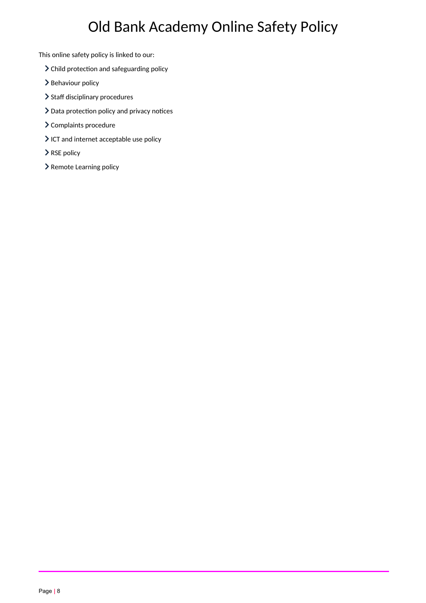This online safety policy is linked to our:

- $\blacktriangleright$  Child protection and safeguarding policy
- > Behaviour policy
- $\blacktriangleright$  Staff disciplinary procedures
- $\geq$  Data protection policy and privacy notices
- Complaints procedure
- > ICT and internet acceptable use policy
- > RSE policy
- > Remote Learning policy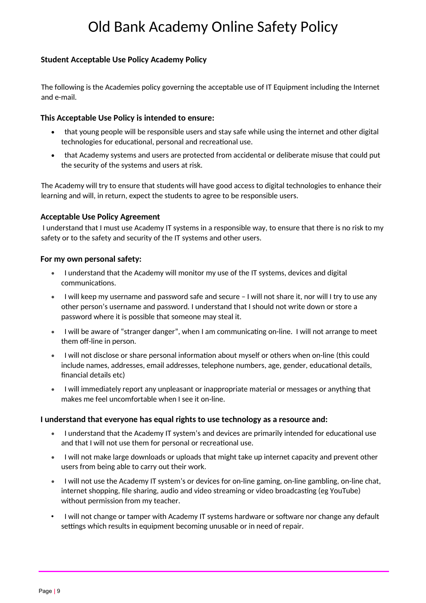### <span id="page-8-1"></span>**Student Acceptable Use Policy Academy Policy**

The following is the Academies policy governing the acceptable use of IT Equipment including the Internet and e-mail.

#### **This Acceptable Use Policy is intended to ensure:**

- that young people will be responsible users and stay safe while using the internet and other digital technologies for educational, personal and recreational use.
- that Academy systems and users are protected from accidental or deliberate misuse that could put the security of the systems and users at risk.

The Academy will try to ensure that students will have good access to digital technologies to enhance their learning and will, in return, expect the students to agree to be responsible users.

#### <span id="page-8-0"></span>**Acceptable Use Policy Agreement**

I understand that I must use Academy IT systems in a responsible way, to ensure that there is no risk to my safety or to the safety and security of the IT systems and other users.

#### **For my own personal safety:**

- I understand that the Academy will monitor my use of the IT systems, devices and digital communications.
- I will keep my username and password safe and secure I will not share it, nor will I try to use any other person's username and password. I understand that I should not write down or store a password where it is possible that someone may steal it.
- I will be aware of "stranger danger", when I am communicating on-line. I will not arrange to meet them off-line in person.
- I will not disclose or share personal information about myself or others when on-line (this could include names, addresses, email addresses, telephone numbers, age, gender, educational details, fnancial details etc)
- I will immediately report any unpleasant or inappropriate material or messages or anything that makes me feel uncomfortable when I see it on-line.

#### **I understand that everyone has equal rights to use technology as a resource and:**

- I understand that the Academy IT system's and devices are primarily intended for educatonal use and that I will not use them for personal or recreational use.
- I will not make large downloads or uploads that might take up internet capacity and prevent other users from being able to carry out their work.
- I will not use the Academy IT system's or devices for on-line gaming, on-line gambling, on-line chat, internet shopping, file sharing, audio and video streaming or video broadcasting (eg YouTube) without permission from my teacher.
- I will not change or tamper with Academy IT systems hardware or sofware nor change any default settings which results in equipment becoming unusable or in need of repair.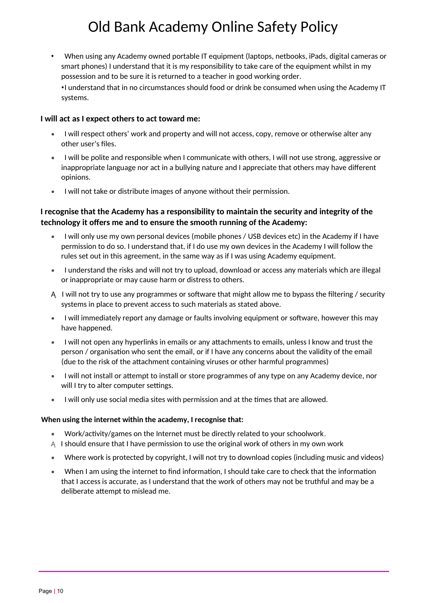• When using any Academy owned portable IT equipment (laptops, netbooks, iPads, digital cameras or smart phones) I understand that it is my responsibility to take care of the equipment whilst in my possession and to be sure it is returned to a teacher in good working order. •I understand that in no circumstances should food or drink be consumed when using the Academy IT systems.

#### **I will act as I expect others to act toward me:**

- I will respect others' work and property and will not access, copy, remove or otherwise alter any other user's fles.
- I will be polite and responsible when I communicate with others, I will not use strong, aggressive or inappropriate language nor act in a bullying nature and I appreciate that others may have diferent opinions.
- I will not take or distribute images of anyone without their permission.

### **I recognise that the Academy has a responsibility to maintain the security and integrity of the technology it ofers me and to ensure the smooth running of the Academy:**

- I will only use my own personal devices (mobile phones / USB devices etc) in the Academy if I have permission to do so. I understand that, if I do use my own devices in the Academy I will follow the rules set out in this agreement, in the same way as if I was using Academy equipment.
- I understand the risks and will not try to upload, download or access any materials which are illegal or inappropriate or may cause harm or distress to others.
- $A$  I will not try to use any programmes or software that might allow me to bypass the filtering / security systems in place to prevent access to such materials as stated above.
- I will immediately report any damage or faults involving equipment or software, however this may have happened.
- I will not open any hyperlinks in emails or any atachments to emails, unless I know and trust the person / organisaton who sent the email, or if I have any concerns about the validity of the email (due to the risk of the atachment containing viruses or other harmful programmes)
- I will not install or attempt to install or store programmes of any type on any Academy device, nor will I try to alter computer settings.
- I will only use social media sites with permission and at the tmes that are allowed.

#### **When using the internet within the academy, I recognise that:**

- Work/actvity/games on the Internet must be directly related to your schoolwork.
- A I should ensure that I have permission to use the original work of others in my own work
- Where work is protected by copyright, I will not try to download copies (including music and videos)
- When I am using the internet to fnd informaton, I should take care to check that the informaton that I access is accurate, as I understand that the work of others may not be truthful and may be a deliberate attempt to mislead me.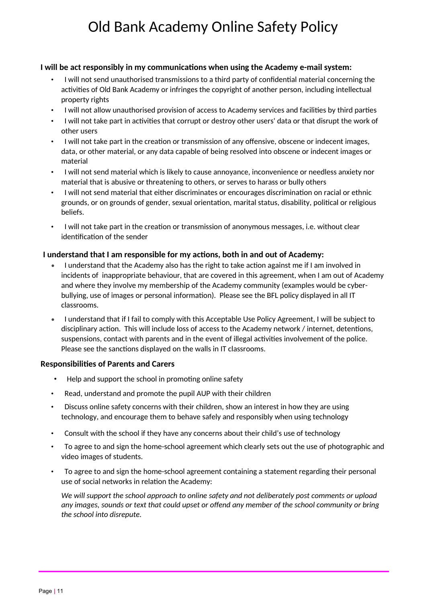### **I will be act responsibly in my communicatons when using the Academy e-mail system:**

- I will not send unauthorised transmissions to a third party of confdental material concerning the activities of Old Bank Academy or infringes the copyright of another person, including intellectual property rights
- I will not allow unauthorised provision of access to Academy services and facilities by third parties
- I will not take part in activities that corrupt or destroy other users' data or that disrupt the work of other users
- I will not take part in the creation or transmission of any offensive, obscene or indecent images, data, or other material, or any data capable of being resolved into obscene or indecent images or material
- I will not send material which is likely to cause annoyance, inconvenience or needless anxiety nor material that is abusive or threatening to others, or serves to harass or bully others
- I will not send material that either discriminates or encourages discriminaton on racial or ethnic grounds, or on grounds of gender, sexual orientation, marital status, disability, political or religious beliefs.
- I will not take part in the creaton or transmission of anonymous messages, i.e. without clear identification of the sender

### **I understand that I am responsible for my actions, both in and out of Academy:**

- I understand that the Academy also has the right to take action against me if I am involved in incidents of inappropriate behaviour, that are covered in this agreement, when I am out of Academy and where they involve my membership of the Academy community (examples would be cyberbullying, use of images or personal informaton). Please see the BFL policy displayed in all IT classrooms.
- I understand that if I fail to comply with this Acceptable Use Policy Agreement, I will be subject to disciplinary action. This will include loss of access to the Academy network / internet, detentions, suspensions, contact with parents and in the event of illegal activities involvement of the police. Please see the sanctions displayed on the walls in IT classrooms.

#### **Responsibilites of Parents and Carers**

- Help and support the school in promoting online safety
- Read, understand and promote the pupil AUP with their children
- Discuss online safety concerns with their children, show an interest in how they are using technology, and encourage them to behave safely and responsibly when using technology
- Consult with the school if they have any concerns about their child's use of technology
- To agree to and sign the home-school agreement which clearly sets out the use of photographic and video images of students.
- To agree to and sign the home-school agreement containing a statement regarding their personal use of social networks in relation the Academy:

*We will support the school approach to online safety and not deliberately post comments or upload any images, sounds or text that could upset or ofend any member of the school community or bring the school into disrepute.*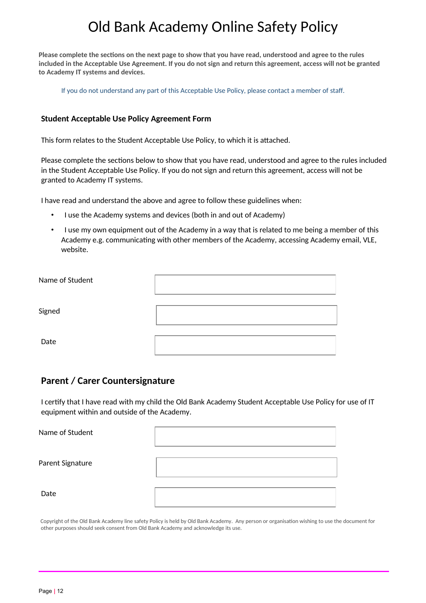**Please complete the sectons on the next page to show that you have read, understood and agree to the rules included in the Acceptable Use Agreement. If you do not sign and return this agreement, access will not be granted to Academy IT systems and devices.** 

If you do not understand any part of this Acceptable Use Policy, please contact a member of staf.

#### **Student Acceptable Use Policy Agreement Form**

This form relates to the Student Acceptable Use Policy, to which it is atached.

Please complete the sections below to show that you have read, understood and agree to the rules included in the Student Acceptable Use Policy. If you do not sign and return this agreement, access will not be granted to Academy IT systems.

I have read and understand the above and agree to follow these guidelines when:

- I use the Academy systems and devices (both in and out of Academy)
- I use my own equipment out of the Academy in a way that is related to me being a member of this Academy e.g. communicating with other members of the Academy, accessing Academy email, VLE, website.

| Name of Student |  |
|-----------------|--|
| Signed          |  |
| Date            |  |

## <span id="page-11-0"></span>**Parent / Carer Countersignature**

I certfy that I have read with my child the Old Bank Academy Student Acceptable Use Policy for use of IT equipment within and outside of the Academy.

| Name of Student  |  |
|------------------|--|
| Parent Signature |  |
| Date             |  |

Copyright of the Old Bank Academy line safety Policy is held by Old Bank Academy. Any person or organisaton wishing to use the document for other purposes should seek consent from Old Bank Academy and acknowledge its use.